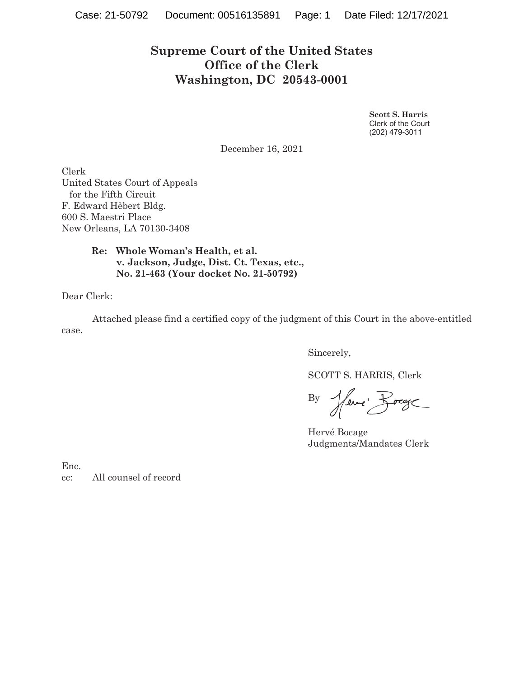# **Supreme Court of the United States Office of the Clerk Washington, DC 20543-0001**

**Scott S. Harris**  Clerk of the Court (202) 479-3011

December 16, 2021

Clerk United States Court of Appeals for the Fifth Circuit F. Edward Hèbert Bldg. 600 S. Maestri Place New Orleans, LA 70130-3408

> **Re: Whole Woman's Health, et al. v. Jackson, Judge, Dist. Ct. Texas, etc., No. 21-463 (Your docket No. 21-50792)**

Dear Clerk:

Attached please find a certified copy of the judgment of this Court in the above-entitled case.

Sincerely,

SCOTT S. HARRIS, Clerk

By

 Hervé Bocage Judgments/Mandates Clerk

Enc. cc: All counsel of record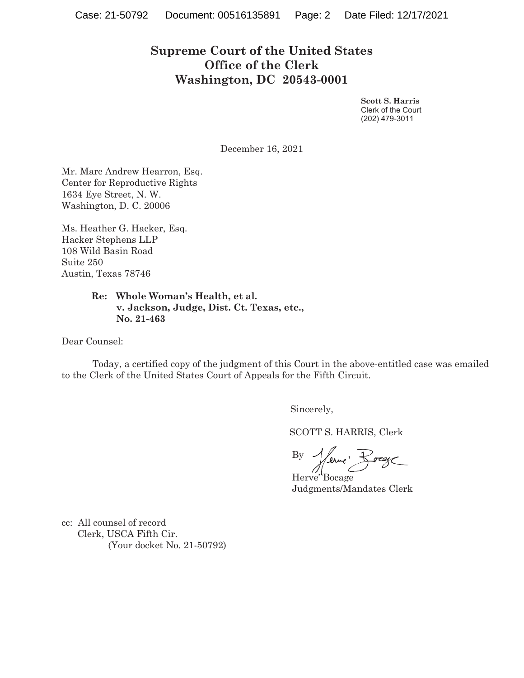**Supreme Court of the United States Office of the Clerk Washington, DC 20543-0001** 

> **Scott S. Harris**  Clerk of the Court (202) 479-3011

December 16, 2021

Mr. Marc Andrew Hearron, Esq. Center for Reproductive Rights 1634 Eye Street, N. W. Washington, D. C. 20006

Ms. Heather G. Hacker, Esq. Hacker Stephens LLP 108 Wild Basin Road Suite 250 Austin, Texas 78746

#### **Re: Whole Woman's Health, et al. v. Jackson, Judge, Dist. Ct. Texas, etc., No. 21-463**

Dear Counsel:

Today, a certified copy of the judgment of this Court in the above-entitled case was emailed to the Clerk of the United States Court of Appeals for the Fifth Circuit.

Sincerely,

SCOTT S. HARRIS, Clerk

By

Herve' Bocage Judgments/Mandates Clerk

cc: All counsel of record Clerk, USCA Fifth Cir. (Your docket No. 21-50792)